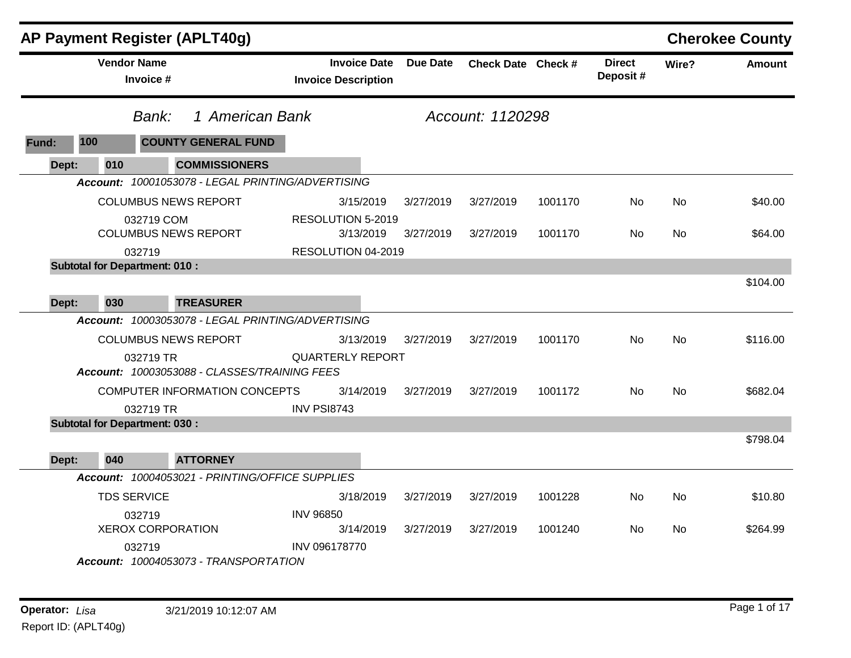|              |     |                                      | AP Payment Register (APLT40g)                     |                                                   |                 |                    |         |                           |           | <b>Cherokee County</b> |
|--------------|-----|--------------------------------------|---------------------------------------------------|---------------------------------------------------|-----------------|--------------------|---------|---------------------------|-----------|------------------------|
|              |     | <b>Vendor Name</b><br>Invoice #      |                                                   | <b>Invoice Date</b><br><b>Invoice Description</b> | <b>Due Date</b> | Check Date Check # |         | <b>Direct</b><br>Deposit# | Wire?     | Amount                 |
|              |     | Bank:                                | 1 American Bank                                   |                                                   |                 | Account: 1120298   |         |                           |           |                        |
| <b>Fund:</b> | 100 |                                      | <b>COUNTY GENERAL FUND</b>                        |                                                   |                 |                    |         |                           |           |                        |
| Dept:        | 010 |                                      | <b>COMMISSIONERS</b>                              |                                                   |                 |                    |         |                           |           |                        |
|              |     |                                      | Account: 10001053078 - LEGAL PRINTING/ADVERTISING |                                                   |                 |                    |         |                           |           |                        |
|              |     |                                      | <b>COLUMBUS NEWS REPORT</b>                       | 3/15/2019                                         | 3/27/2019       | 3/27/2019          | 1001170 | No                        | No.       | \$40.00                |
|              |     | 032719 COM                           |                                                   | RESOLUTION 5-2019                                 |                 |                    |         |                           |           |                        |
|              |     |                                      | <b>COLUMBUS NEWS REPORT</b>                       | 3/13/2019                                         | 3/27/2019       | 3/27/2019          | 1001170 | No                        | No.       | \$64.00                |
|              |     | 032719                               |                                                   | RESOLUTION 04-2019                                |                 |                    |         |                           |           |                        |
|              |     | <b>Subtotal for Department: 010:</b> |                                                   |                                                   |                 |                    |         |                           |           |                        |
|              |     |                                      |                                                   |                                                   |                 |                    |         |                           |           | \$104.00               |
| Dept:        | 030 |                                      | <b>TREASURER</b>                                  |                                                   |                 |                    |         |                           |           |                        |
|              |     |                                      | Account: 10003053078 - LEGAL PRINTING/ADVERTISING |                                                   |                 |                    |         |                           |           |                        |
|              |     |                                      | <b>COLUMBUS NEWS REPORT</b>                       | 3/13/2019                                         | 3/27/2019       | 3/27/2019          | 1001170 | No                        | <b>No</b> | \$116.00               |
|              |     | 032719 TR                            | Account: 10003053088 - CLASSES/TRAINING FEES      | <b>QUARTERLY REPORT</b>                           |                 |                    |         |                           |           |                        |
|              |     |                                      | COMPUTER INFORMATION CONCEPTS                     | 3/14/2019                                         | 3/27/2019       | 3/27/2019          | 1001172 | No                        | No.       | \$682.04               |
|              |     | 032719 TR                            |                                                   | INV PSI8743                                       |                 |                    |         |                           |           |                        |
|              |     | <b>Subtotal for Department: 030:</b> |                                                   |                                                   |                 |                    |         |                           |           |                        |
|              |     |                                      |                                                   |                                                   |                 |                    |         |                           |           | \$798.04               |
| Dept:        | 040 |                                      | <b>ATTORNEY</b>                                   |                                                   |                 |                    |         |                           |           |                        |
|              |     |                                      | Account: 10004053021 - PRINTING/OFFICE SUPPLIES   |                                                   |                 |                    |         |                           |           |                        |
|              |     | <b>TDS SERVICE</b>                   |                                                   | 3/18/2019                                         | 3/27/2019       | 3/27/2019          | 1001228 | No                        | <b>No</b> | \$10.80                |
|              |     | 032719                               |                                                   | <b>INV 96850</b>                                  |                 |                    |         |                           |           |                        |
|              |     | <b>XEROX CORPORATION</b>             |                                                   | 3/14/2019                                         | 3/27/2019       | 3/27/2019          | 1001240 | No                        | No.       | \$264.99               |
|              |     | 032719                               |                                                   | INV 096178770                                     |                 |                    |         |                           |           |                        |
|              |     |                                      | Account: 10004053073 - TRANSPORTATION             |                                                   |                 |                    |         |                           |           |                        |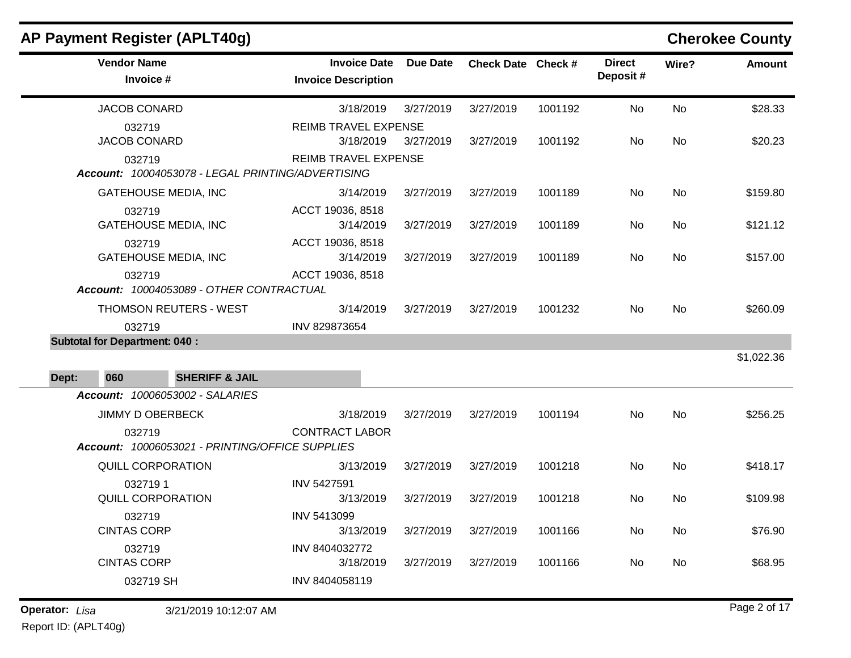|                       |                                                | AP Payment Register (APLT40g)                     |                                                   |                 |                    |         |                           |       | <b>Cherokee County</b> |
|-----------------------|------------------------------------------------|---------------------------------------------------|---------------------------------------------------|-----------------|--------------------|---------|---------------------------|-------|------------------------|
|                       | <b>Vendor Name</b><br>Invoice #                |                                                   | <b>Invoice Date</b><br><b>Invoice Description</b> | <b>Due Date</b> | Check Date Check # |         | <b>Direct</b><br>Deposit# | Wire? | <b>Amount</b>          |
|                       | <b>JACOB CONARD</b>                            |                                                   | 3/18/2019                                         | 3/27/2019       | 3/27/2019          | 1001192 | No                        | No    | \$28.33                |
|                       | 032719<br><b>JACOB CONARD</b>                  |                                                   | <b>REIMB TRAVEL EXPENSE</b><br>3/18/2019          | 3/27/2019       | 3/27/2019          | 1001192 | No                        | No    | \$20.23                |
|                       | 032719                                         | Account: 10004053078 - LEGAL PRINTING/ADVERTISING | <b>REIMB TRAVEL EXPENSE</b>                       |                 |                    |         |                           |       |                        |
|                       |                                                | <b>GATEHOUSE MEDIA, INC</b>                       | 3/14/2019                                         | 3/27/2019       | 3/27/2019          | 1001189 | No                        | No    | \$159.80               |
|                       | 032719                                         | <b>GATEHOUSE MEDIA, INC</b>                       | ACCT 19036, 8518<br>3/14/2019                     | 3/27/2019       | 3/27/2019          | 1001189 | No                        | No    | \$121.12               |
|                       | 032719                                         | <b>GATEHOUSE MEDIA, INC</b>                       | ACCT 19036, 8518<br>3/14/2019                     | 3/27/2019       | 3/27/2019          | 1001189 | No                        | No    | \$157.00               |
|                       | 032719                                         | Account: 10004053089 - OTHER CONTRACTUAL          | ACCT 19036, 8518                                  |                 |                    |         |                           |       |                        |
|                       |                                                | THOMSON REUTERS - WEST                            | 3/14/2019                                         | 3/27/2019       | 3/27/2019          | 1001232 | No                        | No    | \$260.09               |
|                       | 032719<br><b>Subtotal for Department: 040:</b> |                                                   | INV 829873654                                     |                 |                    |         |                           |       |                        |
|                       |                                                |                                                   |                                                   |                 |                    |         |                           |       | \$1,022.36             |
| Dept:                 | 060                                            | <b>SHERIFF &amp; JAIL</b>                         |                                                   |                 |                    |         |                           |       |                        |
|                       |                                                | Account: 10006053002 - SALARIES                   |                                                   |                 |                    |         |                           |       |                        |
|                       | JIMMY D OBERBECK                               |                                                   | 3/18/2019                                         | 3/27/2019       | 3/27/2019          | 1001194 | No                        | No    | \$256.25               |
|                       | 032719                                         | Account: 10006053021 - PRINTING/OFFICE SUPPLIES   | <b>CONTRACT LABOR</b>                             |                 |                    |         |                           |       |                        |
|                       |                                                | QUILL CORPORATION                                 | 3/13/2019                                         | 3/27/2019       | 3/27/2019          | 1001218 | No                        | No    | \$418.17               |
|                       | 0327191<br>QUILL CORPORATION                   |                                                   | <b>INV 5427591</b><br>3/13/2019                   | 3/27/2019       | 3/27/2019          | 1001218 | No.                       | No    | \$109.98               |
|                       | 032719<br><b>CINTAS CORP</b>                   |                                                   | INV 5413099<br>3/13/2019                          | 3/27/2019       | 3/27/2019          | 1001166 | No                        | No    | \$76.90                |
|                       | 032719<br><b>CINTAS CORP</b>                   |                                                   | INV 8404032772<br>3/18/2019                       | 3/27/2019       | 3/27/2019          | 1001166 | No                        | No    | \$68.95                |
|                       | 032719 SH                                      |                                                   | INV 8404058119                                    |                 |                    |         |                           |       |                        |
| <b>Operator:</b> Lisa |                                                | 3/21/2019 10:12:07 AM                             |                                                   |                 |                    |         |                           |       | Page 2 of 17           |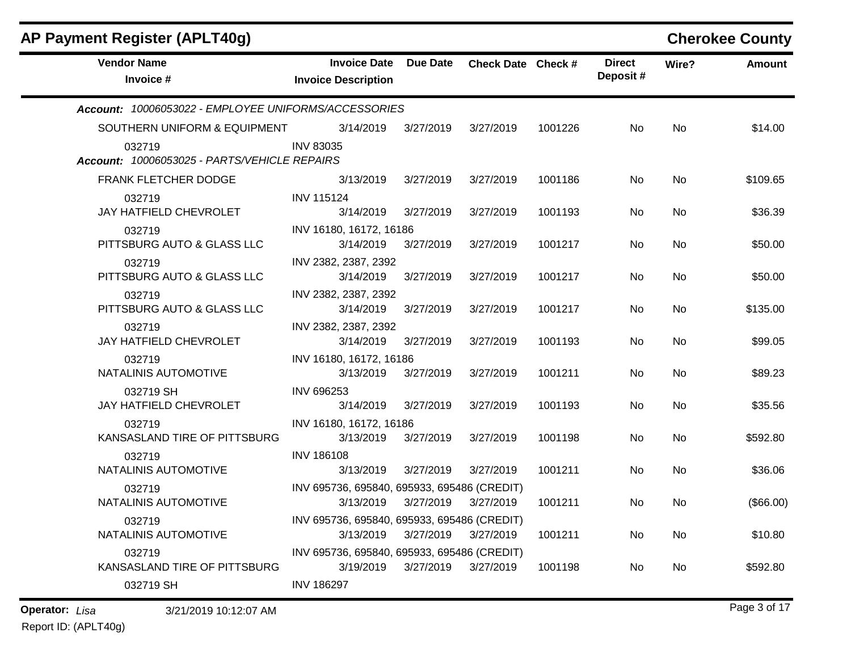| AP Payment Register (APLT40g)                          |                                                          |                 |                    |         |                           |       | <b>Cherokee County</b> |
|--------------------------------------------------------|----------------------------------------------------------|-----------------|--------------------|---------|---------------------------|-------|------------------------|
| <b>Vendor Name</b><br>Invoice #                        | <b>Invoice Date</b><br><b>Invoice Description</b>        | <b>Due Date</b> | Check Date Check # |         | <b>Direct</b><br>Deposit# | Wire? | <b>Amount</b>          |
| Account: 10006053022 - EMPLOYEE UNIFORMS/ACCESSORIES   |                                                          |                 |                    |         |                           |       |                        |
| SOUTHERN UNIFORM & EQUIPMENT                           | 3/14/2019                                                | 3/27/2019       | 3/27/2019          | 1001226 | No                        | No    | \$14.00                |
| 032719<br>Account: 10006053025 - PARTS/VEHICLE REPAIRS | <b>INV 83035</b>                                         |                 |                    |         |                           |       |                        |
| <b>FRANK FLETCHER DODGE</b>                            | 3/13/2019                                                | 3/27/2019       | 3/27/2019          | 1001186 | No                        | No    | \$109.65               |
| 032719<br>JAY HATFIELD CHEVROLET                       | <b>INV 115124</b><br>3/14/2019                           | 3/27/2019       | 3/27/2019          | 1001193 | No                        | No    | \$36.39                |
| 032719<br>PITTSBURG AUTO & GLASS LLC                   | INV 16180, 16172, 16186<br>3/14/2019                     | 3/27/2019       | 3/27/2019          | 1001217 | No                        | No    | \$50.00                |
| 032719<br>PITTSBURG AUTO & GLASS LLC                   | INV 2382, 2387, 2392<br>3/14/2019                        | 3/27/2019       | 3/27/2019          | 1001217 | No                        | No    | \$50.00                |
| 032719<br>PITTSBURG AUTO & GLASS LLC                   | INV 2382, 2387, 2392<br>3/14/2019                        | 3/27/2019       | 3/27/2019          | 1001217 | No                        | No    | \$135.00               |
| 032719<br>JAY HATFIELD CHEVROLET                       | INV 2382, 2387, 2392<br>3/14/2019                        | 3/27/2019       | 3/27/2019          | 1001193 | No                        | No    | \$99.05                |
| 032719<br>NATALINIS AUTOMOTIVE                         | INV 16180, 16172, 16186<br>3/13/2019                     | 3/27/2019       | 3/27/2019          | 1001211 | No                        | No    | \$89.23                |
| 032719 SH<br>JAY HATFIELD CHEVROLET                    | INV 696253<br>3/14/2019                                  | 3/27/2019       | 3/27/2019          | 1001193 | No                        | No    | \$35.56                |
| 032719<br>KANSASLAND TIRE OF PITTSBURG                 | INV 16180, 16172, 16186<br>3/13/2019                     | 3/27/2019       | 3/27/2019          | 1001198 | No                        | No    | \$592.80               |
| 032719<br>NATALINIS AUTOMOTIVE                         | <b>INV 186108</b><br>3/13/2019                           | 3/27/2019       | 3/27/2019          | 1001211 | No                        | No    | \$36.06                |
| 032719<br>NATALINIS AUTOMOTIVE                         | INV 695736, 695840, 695933, 695486 (CREDIT)<br>3/13/2019 | 3/27/2019       | 3/27/2019          | 1001211 | No                        | No.   | (\$66.00)              |
| 032719<br>NATALINIS AUTOMOTIVE                         | INV 695736, 695840, 695933, 695486 (CREDIT)<br>3/13/2019 | 3/27/2019       | 3/27/2019          | 1001211 | No                        | No    | \$10.80                |
| 032719<br>KANSASLAND TIRE OF PITTSBURG                 | INV 695736, 695840, 695933, 695486 (CREDIT)<br>3/19/2019 | 3/27/2019       | 3/27/2019          | 1001198 | No                        | No    | \$592.80               |
| 032719 SH                                              | <b>INV 186297</b>                                        |                 |                    |         |                           |       |                        |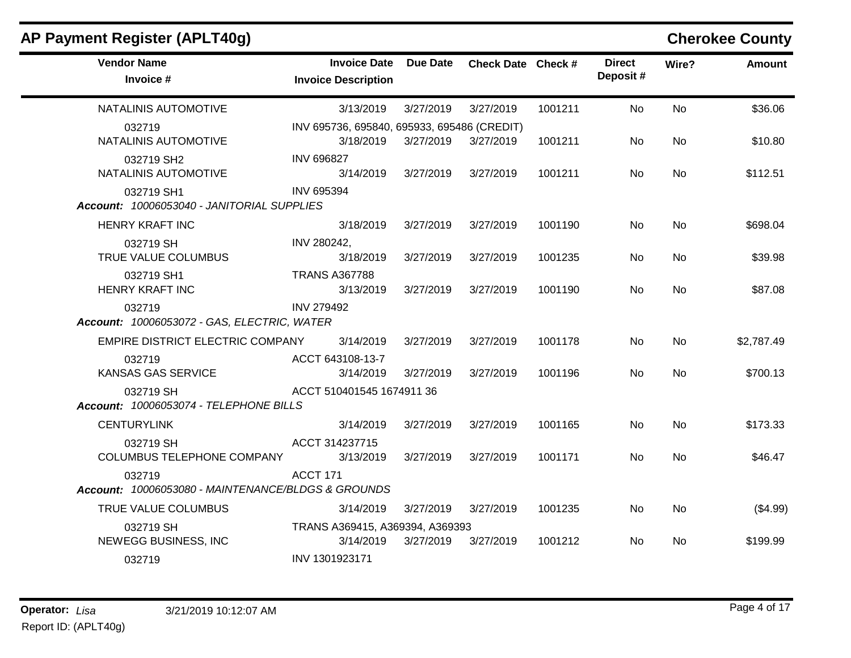| AP Payment Register (APLT40g)                                |                                                   |                 |                    |         |                           |           | <b>Cherokee County</b> |
|--------------------------------------------------------------|---------------------------------------------------|-----------------|--------------------|---------|---------------------------|-----------|------------------------|
| <b>Vendor Name</b><br>Invoice #                              | <b>Invoice Date</b><br><b>Invoice Description</b> | <b>Due Date</b> | Check Date Check # |         | <b>Direct</b><br>Deposit# | Wire?     | <b>Amount</b>          |
| NATALINIS AUTOMOTIVE                                         | 3/13/2019                                         | 3/27/2019       | 3/27/2019          | 1001211 | No                        | <b>No</b> | \$36.06                |
| 032719                                                       | INV 695736, 695840, 695933, 695486 (CREDIT)       |                 |                    |         |                           |           |                        |
| NATALINIS AUTOMOTIVE                                         | 3/18/2019                                         | 3/27/2019       | 3/27/2019          | 1001211 | No.                       | No.       | \$10.80                |
| 032719 SH2<br>NATALINIS AUTOMOTIVE                           | <b>INV 696827</b><br>3/14/2019                    | 3/27/2019       | 3/27/2019          | 1001211 | No                        | <b>No</b> | \$112.51               |
| 032719 SH1<br>Account: 10006053040 - JANITORIAL SUPPLIES     | <b>INV 695394</b>                                 |                 |                    |         |                           |           |                        |
| <b>HENRY KRAFT INC</b>                                       | 3/18/2019                                         | 3/27/2019       | 3/27/2019          | 1001190 | No.                       | <b>No</b> | \$698.04               |
| 032719 SH<br>TRUE VALUE COLUMBUS                             | INV 280242,<br>3/18/2019                          | 3/27/2019       | 3/27/2019          | 1001235 | No.                       | No.       | \$39.98                |
| 032719 SH1<br><b>HENRY KRAFT INC</b>                         | <b>TRANS A367788</b><br>3/13/2019                 | 3/27/2019       | 3/27/2019          | 1001190 | No                        | <b>No</b> | \$87.08                |
| 032719<br>Account: 10006053072 - GAS, ELECTRIC, WATER        | <b>INV 279492</b>                                 |                 |                    |         |                           |           |                        |
| EMPIRE DISTRICT ELECTRIC COMPANY                             | 3/14/2019                                         | 3/27/2019       | 3/27/2019          | 1001178 | No.                       | <b>No</b> | \$2,787.49             |
| 032719                                                       | ACCT 643108-13-7                                  |                 |                    |         |                           |           |                        |
| KANSAS GAS SERVICE                                           | 3/14/2019                                         | 3/27/2019       | 3/27/2019          | 1001196 | No                        | No.       | \$700.13               |
| 032719 SH<br>Account: 10006053074 - TELEPHONE BILLS          | ACCT 510401545 1674911 36                         |                 |                    |         |                           |           |                        |
| <b>CENTURYLINK</b>                                           | 3/14/2019                                         | 3/27/2019       | 3/27/2019          | 1001165 | No.                       | <b>No</b> | \$173.33               |
| 032719 SH<br>COLUMBUS TELEPHONE COMPANY                      | ACCT 314237715<br>3/13/2019                       | 3/27/2019       | 3/27/2019          | 1001171 | No.                       | No.       | \$46.47                |
| 032719<br>Account: 10006053080 - MAINTENANCE/BLDGS & GROUNDS | <b>ACCT 171</b>                                   |                 |                    |         |                           |           |                        |
| TRUE VALUE COLUMBUS                                          | 3/14/2019                                         | 3/27/2019       | 3/27/2019          | 1001235 | No                        | <b>No</b> | (\$4.99)               |
| 032719 SH                                                    | TRANS A369415, A369394, A369393                   |                 |                    |         |                           |           |                        |
| NEWEGG BUSINESS, INC                                         | 3/14/2019                                         | 3/27/2019       | 3/27/2019          | 1001212 | No.                       | <b>No</b> | \$199.99               |
| 032719                                                       | INV 1301923171                                    |                 |                    |         |                           |           |                        |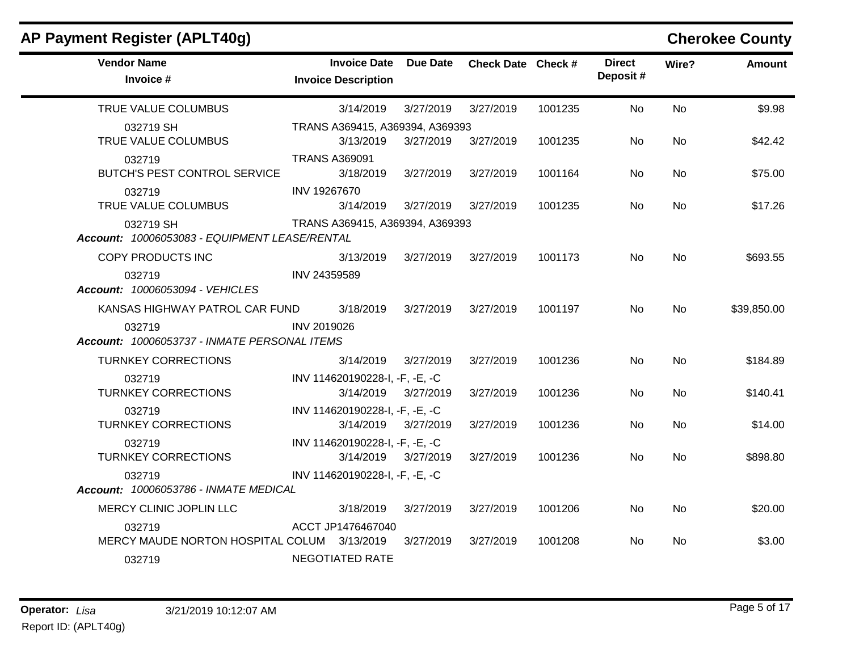| <b>AP Payment Register (APLT40g)</b>                       |                                                   |                 |                    |         |                           |                | <b>Cherokee County</b> |
|------------------------------------------------------------|---------------------------------------------------|-----------------|--------------------|---------|---------------------------|----------------|------------------------|
| <b>Vendor Name</b><br>Invoice #                            | <b>Invoice Date</b><br><b>Invoice Description</b> | <b>Due Date</b> | Check Date Check # |         | <b>Direct</b><br>Deposit# | Wire?          | <b>Amount</b>          |
| TRUE VALUE COLUMBUS                                        | 3/14/2019                                         | 3/27/2019       | 3/27/2019          | 1001235 | <b>No</b>                 | <b>No</b>      | \$9.98                 |
| 032719 SH                                                  | TRANS A369415, A369394, A369393                   |                 |                    |         |                           |                |                        |
| TRUE VALUE COLUMBUS                                        | 3/13/2019                                         | 3/27/2019       | 3/27/2019          | 1001235 | No.                       | No             | \$42.42                |
| 032719                                                     | <b>TRANS A369091</b>                              |                 |                    |         |                           |                |                        |
| BUTCH'S PEST CONTROL SERVICE                               | 3/18/2019                                         | 3/27/2019       | 3/27/2019          | 1001164 | No                        | No.            | \$75.00                |
| 032719                                                     | INV 19267670                                      |                 |                    |         |                           |                |                        |
| TRUE VALUE COLUMBUS                                        | 3/14/2019                                         | 3/27/2019       | 3/27/2019          | 1001235 | No                        | <b>No</b>      | \$17.26                |
| 032719 SH<br>Account: 10006053083 - EQUIPMENT LEASE/RENTAL | TRANS A369415, A369394, A369393                   |                 |                    |         |                           |                |                        |
| COPY PRODUCTS INC                                          | 3/13/2019                                         | 3/27/2019       | 3/27/2019          | 1001173 | No.                       | N <sub>0</sub> | \$693.55               |
| 032719<br><b>Account: 10006053094 - VEHICLES</b>           | INV 24359589                                      |                 |                    |         |                           |                |                        |
| KANSAS HIGHWAY PATROL CAR FUND                             | 3/18/2019                                         | 3/27/2019       | 3/27/2019          | 1001197 | <b>No</b>                 | <b>No</b>      | \$39,850.00            |
| 032719<br>Account: 10006053737 - INMATE PERSONAL ITEMS     | INV 2019026                                       |                 |                    |         |                           |                |                        |
| <b>TURNKEY CORRECTIONS</b>                                 | 3/14/2019                                         | 3/27/2019       | 3/27/2019          | 1001236 | No                        | No             | \$184.89               |
| 032719                                                     | INV 114620190228-I, -F, -E, -C                    |                 |                    |         |                           |                |                        |
| <b>TURNKEY CORRECTIONS</b>                                 | 3/14/2019                                         | 3/27/2019       | 3/27/2019          | 1001236 | No                        | <b>No</b>      | \$140.41               |
| 032719                                                     | INV 114620190228-I, -F, -E, -C                    |                 |                    |         |                           |                |                        |
| <b>TURNKEY CORRECTIONS</b>                                 | 3/14/2019                                         | 3/27/2019       | 3/27/2019          | 1001236 | No.                       | <b>No</b>      | \$14.00                |
| 032719                                                     | INV 114620190228-I, -F, -E, -C                    |                 |                    |         |                           |                |                        |
| <b>TURNKEY CORRECTIONS</b>                                 | 3/14/2019                                         | 3/27/2019       | 3/27/2019          | 1001236 | No                        | <b>No</b>      | \$898.80               |
| 032719<br>Account: 10006053786 - INMATE MEDICAL            | INV 114620190228-I, -F, -E, -C                    |                 |                    |         |                           |                |                        |
| MERCY CLINIC JOPLIN LLC                                    | 3/18/2019                                         | 3/27/2019       | 3/27/2019          | 1001206 | No                        | No.            | \$20.00                |
| 032719                                                     | ACCT JP1476467040                                 |                 |                    |         |                           |                |                        |
| MERCY MAUDE NORTON HOSPITAL COLUM 3/13/2019                |                                                   | 3/27/2019       | 3/27/2019          | 1001208 | No.                       | N <sub>0</sub> | \$3.00                 |
| 032719                                                     | <b>NEGOTIATED RATE</b>                            |                 |                    |         |                           |                |                        |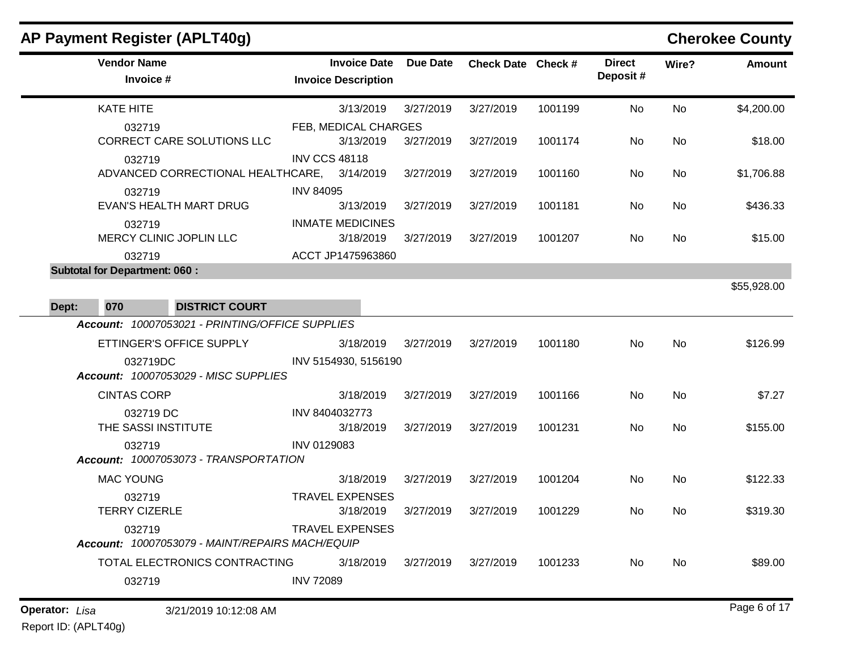## **AP Payment Register (APLT40g) Cherokee County Vendor Name Invoice Date Due Date Check Date Invoice # Check Date Check # Invoice Description Direct Wire? Amount Deposit #** KATE HITE 032719 3/13/2019 3/27/2019 3/27/2019 1001199 No \$4,200.00 FEB, MEDICAL CHARGES No CORRECT CARE SOLUTIONS LLC 032719 3/13/2019 3/27/2019 3/27/2019 1001174 No \$18.00 INV CCS 48118 No ADVANCED CORRECTIONAL HEALTHCARE, 032719 3/14/2019 3/27/2019 3/27/2019 1001160 No \$1,706.88 INV 84095 No EVAN'S HEALTH MART DRUG 032719 3/13/2019 3/27/2019 3/27/2019 1001181 No \$436.33 INMATE MEDICINES No MERCY CLINIC JOPLIN LLC 032719 3/18/2019 3/27/2019 3/27/2019 1001207 No \$15.00 ACCT JP1475963860 No **Subtotal for Department: 060 :**  \$55,928.00 **Dept: 070 DISTRICT COURT** *Account: 10007053021 - PRINTING/OFFICE SUPPLIES* ETTINGER'S OFFICE SUPPLY 032719DC 3/18/2019 3/27/2019 3/27/2019 1001180 No \$126.99 INV 5154930, 5156190 No *Account: 10007053029 - MISC SUPPLIES* CINTAS CORP 032719 DC 3/18/2019 3/27/2019 3/27/2019 1001166 No \$7.27 INV 8404032773 No THE SASSI INSTITUTE 032719 3/18/2019 3/27/2019 3/27/2019 1001231 No \$155.00 INV 0129083 No *Account: 10007053073 - TRANSPORTATION* MAC YOUNG 032719 3/18/2019 3/27/2019 3/27/2019 1001204 No \$122.33 TRAVEL EXPENSES No TERRY CIZERLE 032719 3/18/2019 3/27/2019 3/27/2019 1001229 No \$319.30 TRAVEL EXPENSES No *Account: 10007053079 - MAINT/REPAIRS MACH/EQUIP* TOTAL ELECTRONICS CONTRACTING 032719 3/18/2019 3/27/2019 3/27/2019 1001233 No \$89.00 INV 72089 No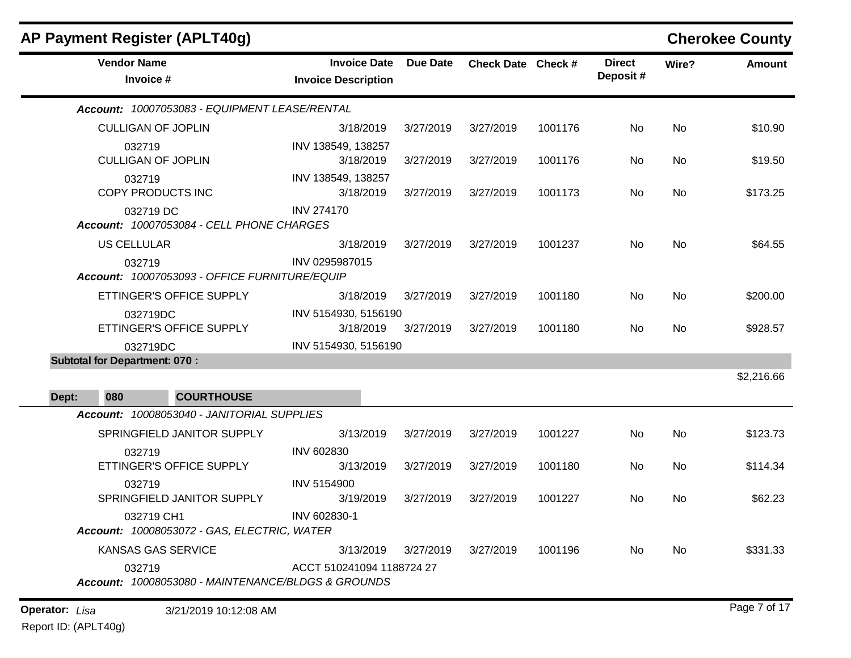| AP Payment Register (APLT40g)                                |                                                   |                 |                    |         |                           |           | <b>Cherokee County</b> |
|--------------------------------------------------------------|---------------------------------------------------|-----------------|--------------------|---------|---------------------------|-----------|------------------------|
| <b>Vendor Name</b><br>Invoice #                              | <b>Invoice Date</b><br><b>Invoice Description</b> | <b>Due Date</b> | Check Date Check # |         | <b>Direct</b><br>Deposit# | Wire?     | <b>Amount</b>          |
| Account: 10007053083 - EQUIPMENT LEASE/RENTAL                |                                                   |                 |                    |         |                           |           |                        |
| <b>CULLIGAN OF JOPLIN</b>                                    | 3/18/2019                                         | 3/27/2019       | 3/27/2019          | 1001176 | No                        | No        | \$10.90                |
| 032719<br><b>CULLIGAN OF JOPLIN</b>                          | INV 138549, 138257<br>3/18/2019                   | 3/27/2019       | 3/27/2019          | 1001176 | No                        | No        | \$19.50                |
| 032719<br>COPY PRODUCTS INC                                  | INV 138549, 138257<br>3/18/2019                   | 3/27/2019       | 3/27/2019          | 1001173 | No                        | No        | \$173.25               |
| 032719 DC<br>Account: 10007053084 - CELL PHONE CHARGES       | <b>INV 274170</b>                                 |                 |                    |         |                           |           |                        |
| <b>US CELLULAR</b>                                           | 3/18/2019                                         | 3/27/2019       | 3/27/2019          | 1001237 | No                        | No        | \$64.55                |
| 032719<br>Account: 10007053093 - OFFICE FURNITURE/EQUIP      | INV 0295987015                                    |                 |                    |         |                           |           |                        |
| ETTINGER'S OFFICE SUPPLY                                     | 3/18/2019                                         | 3/27/2019       | 3/27/2019          | 1001180 | No                        | No        | \$200.00               |
| 032719DC<br>ETTINGER'S OFFICE SUPPLY                         | INV 5154930, 5156190<br>3/18/2019                 | 3/27/2019       | 3/27/2019          | 1001180 | No                        | <b>No</b> | \$928.57               |
| 032719DC                                                     | INV 5154930, 5156190                              |                 |                    |         |                           |           |                        |
| <b>Subtotal for Department: 070:</b>                         |                                                   |                 |                    |         |                           |           | \$2,216.66             |
| Dept:<br>080<br><b>COURTHOUSE</b>                            |                                                   |                 |                    |         |                           |           |                        |
| Account: 10008053040 - JANITORIAL SUPPLIES                   |                                                   |                 |                    |         |                           |           |                        |
| SPRINGFIELD JANITOR SUPPLY                                   | 3/13/2019                                         | 3/27/2019       | 3/27/2019          | 1001227 | No                        | No        | \$123.73               |
| 032719                                                       | <b>INV 602830</b>                                 |                 |                    |         |                           |           |                        |
| ETTINGER'S OFFICE SUPPLY                                     | 3/13/2019                                         | 3/27/2019       | 3/27/2019          | 1001180 | No                        | <b>No</b> | \$114.34               |
| 032719                                                       | <b>INV 5154900</b>                                |                 |                    |         |                           |           |                        |
| SPRINGFIELD JANITOR SUPPLY                                   | 3/19/2019                                         | 3/27/2019       | 3/27/2019          | 1001227 | No                        | <b>No</b> | \$62.23                |
| 032719 CH1<br>Account: 10008053072 - GAS, ELECTRIC, WATER    | INV 602830-1                                      |                 |                    |         |                           |           |                        |
| <b>KANSAS GAS SERVICE</b>                                    | 3/13/2019                                         | 3/27/2019       | 3/27/2019          | 1001196 | No                        | No        | \$331.33               |
| 032719<br>Account: 10008053080 - MAINTENANCE/BLDGS & GROUNDS | ACCT 510241094 1188724 27                         |                 |                    |         |                           |           |                        |
| <b>Operator:</b> Lisa<br>3/21/2019 10:12:08 AM               |                                                   |                 |                    |         |                           |           | Page 7 of 17           |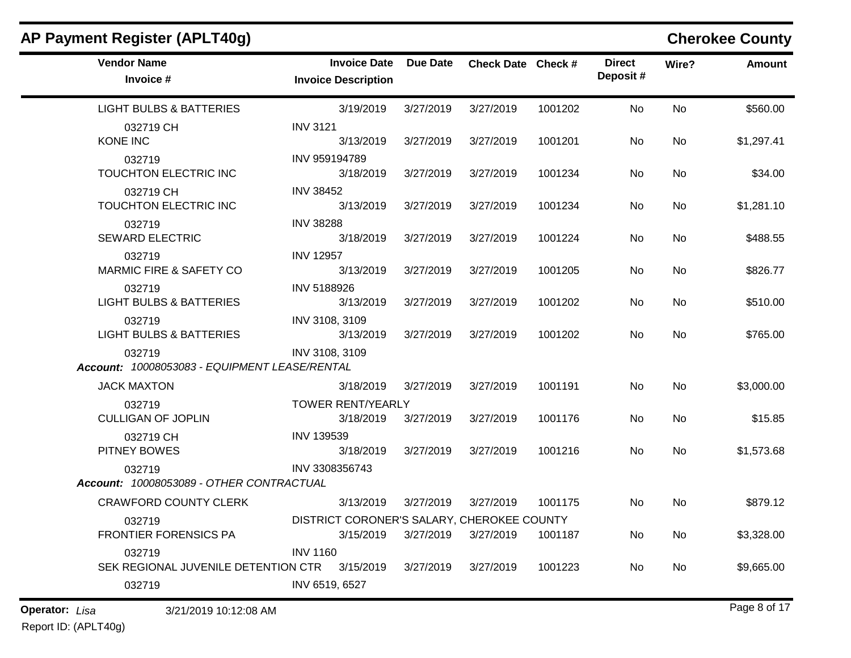| AP Payment Register (APLT40g)                           |                                                         |                 |                    |         |                           |           | <b>Cherokee County</b> |
|---------------------------------------------------------|---------------------------------------------------------|-----------------|--------------------|---------|---------------------------|-----------|------------------------|
| <b>Vendor Name</b><br>Invoice #                         | <b>Invoice Date</b><br><b>Invoice Description</b>       | <b>Due Date</b> | Check Date Check # |         | <b>Direct</b><br>Deposit# | Wire?     | <b>Amount</b>          |
| <b>LIGHT BULBS &amp; BATTERIES</b>                      | 3/19/2019                                               | 3/27/2019       | 3/27/2019          | 1001202 | No                        | <b>No</b> | \$560.00               |
| 032719 CH<br><b>KONE INC</b>                            | <b>INV 3121</b><br>3/13/2019                            | 3/27/2019       | 3/27/2019          | 1001201 | No                        | <b>No</b> | \$1,297.41             |
| 032719<br>TOUCHTON ELECTRIC INC                         | INV 959194789<br>3/18/2019                              | 3/27/2019       | 3/27/2019          | 1001234 | No                        | <b>No</b> | \$34.00                |
| 032719 CH<br>TOUCHTON ELECTRIC INC                      | <b>INV 38452</b><br>3/13/2019                           | 3/27/2019       | 3/27/2019          | 1001234 | No                        | No        | \$1,281.10             |
| 032719<br><b>SEWARD ELECTRIC</b>                        | <b>INV 38288</b><br>3/18/2019                           | 3/27/2019       | 3/27/2019          | 1001224 | No                        | <b>No</b> | \$488.55               |
| 032719<br><b>MARMIC FIRE &amp; SAFETY CO</b>            | <b>INV 12957</b><br>3/13/2019                           | 3/27/2019       | 3/27/2019          | 1001205 | No                        | <b>No</b> | \$826.77               |
| 032719<br><b>LIGHT BULBS &amp; BATTERIES</b>            | INV 5188926<br>3/13/2019                                | 3/27/2019       | 3/27/2019          | 1001202 | No                        | <b>No</b> | \$510.00               |
| 032719<br><b>LIGHT BULBS &amp; BATTERIES</b>            | INV 3108, 3109<br>3/13/2019                             | 3/27/2019       | 3/27/2019          | 1001202 | No                        | No        | \$765.00               |
| 032719<br>Account: 10008053083 - EQUIPMENT LEASE/RENTAL | INV 3108, 3109                                          |                 |                    |         |                           |           |                        |
| <b>JACK MAXTON</b>                                      | 3/18/2019                                               | 3/27/2019       | 3/27/2019          | 1001191 | No                        | <b>No</b> | \$3,000.00             |
| 032719<br><b>CULLIGAN OF JOPLIN</b>                     | <b>TOWER RENT/YEARLY</b><br>3/18/2019                   | 3/27/2019       | 3/27/2019          | 1001176 | No                        | <b>No</b> | \$15.85                |
| 032719 CH<br>PITNEY BOWES                               | <b>INV 139539</b><br>3/18/2019                          | 3/27/2019       | 3/27/2019          | 1001216 | No                        | No        | \$1,573.68             |
| 032719<br>Account: 10008053089 - OTHER CONTRACTUAL      | INV 3308356743                                          |                 |                    |         |                           |           |                        |
| <b>CRAWFORD COUNTY CLERK</b>                            | 3/13/2019                                               | 3/27/2019       | 3/27/2019          | 1001175 | No                        | No        | \$879.12               |
| 032719<br>FRONTIER FORENSICS PA                         | DISTRICT CORONER'S SALARY, CHEROKEE COUNTY<br>3/15/2019 | 3/27/2019       | 3/27/2019          | 1001187 | No                        | No        | \$3,328.00             |
| 032719                                                  | <b>INV 1160</b>                                         |                 |                    |         |                           |           |                        |
| SEK REGIONAL JUVENILE DETENTION CTR 3/15/2019<br>032719 | INV 6519, 6527                                          | 3/27/2019       | 3/27/2019          | 1001223 | No                        | No        | \$9,665.00             |

## **Operator:** Page 8 of 17 *Lisa* 3/21/2019 10:12:08 AM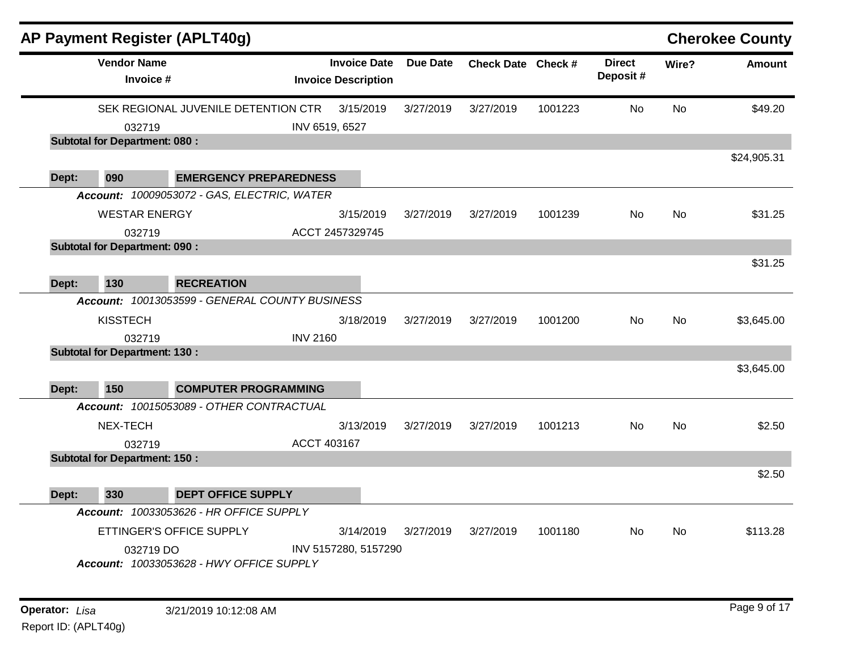|       |                                      | AP Payment Register (APLT40g)                  |                 |                                                   |           |                    |         |                           |           | <b>Cherokee County</b> |
|-------|--------------------------------------|------------------------------------------------|-----------------|---------------------------------------------------|-----------|--------------------|---------|---------------------------|-----------|------------------------|
|       | <b>Vendor Name</b><br>Invoice #      |                                                |                 | <b>Invoice Date</b><br><b>Invoice Description</b> | Due Date  | Check Date Check # |         | <b>Direct</b><br>Deposit# | Wire?     | <b>Amount</b>          |
|       |                                      | SEK REGIONAL JUVENILE DETENTION CTR            |                 | 3/15/2019                                         | 3/27/2019 | 3/27/2019          | 1001223 | <b>No</b>                 | <b>No</b> | \$49.20                |
|       | 032719                               |                                                |                 | INV 6519, 6527                                    |           |                    |         |                           |           |                        |
|       | <b>Subtotal for Department: 080:</b> |                                                |                 |                                                   |           |                    |         |                           |           |                        |
|       |                                      |                                                |                 |                                                   |           |                    |         |                           |           | \$24,905.31            |
| Dept: | 090                                  | <b>EMERGENCY PREPAREDNESS</b>                  |                 |                                                   |           |                    |         |                           |           |                        |
|       |                                      | Account: 10009053072 - GAS, ELECTRIC, WATER    |                 |                                                   |           |                    |         |                           |           |                        |
|       | <b>WESTAR ENERGY</b>                 |                                                |                 | 3/15/2019                                         | 3/27/2019 | 3/27/2019          | 1001239 | No.                       | <b>No</b> | \$31.25                |
|       | 032719                               |                                                |                 | ACCT 2457329745                                   |           |                    |         |                           |           |                        |
|       | <b>Subtotal for Department: 090:</b> |                                                |                 |                                                   |           |                    |         |                           |           |                        |
|       |                                      |                                                |                 |                                                   |           |                    |         |                           |           | \$31.25                |
| Dept: | 130                                  | <b>RECREATION</b>                              |                 |                                                   |           |                    |         |                           |           |                        |
|       |                                      | Account: 10013053599 - GENERAL COUNTY BUSINESS |                 |                                                   |           |                    |         |                           |           |                        |
|       | <b>KISSTECH</b>                      |                                                |                 | 3/18/2019                                         | 3/27/2019 | 3/27/2019          | 1001200 | No                        | <b>No</b> | \$3,645.00             |
|       | 032719                               |                                                | <b>INV 2160</b> |                                                   |           |                    |         |                           |           |                        |
|       | <b>Subtotal for Department: 130:</b> |                                                |                 |                                                   |           |                    |         |                           |           |                        |
|       |                                      |                                                |                 |                                                   |           |                    |         |                           |           | \$3,645.00             |
| Dept: | 150                                  | <b>COMPUTER PROGRAMMING</b>                    |                 |                                                   |           |                    |         |                           |           |                        |
|       |                                      | Account: 10015053089 - OTHER CONTRACTUAL       |                 |                                                   |           |                    |         |                           |           |                        |
|       | NEX-TECH                             |                                                |                 | 3/13/2019                                         | 3/27/2019 | 3/27/2019          | 1001213 | No                        | No        | \$2.50                 |
|       | 032719                               |                                                | ACCT 403167     |                                                   |           |                    |         |                           |           |                        |
|       | <b>Subtotal for Department: 150:</b> |                                                |                 |                                                   |           |                    |         |                           |           |                        |
|       |                                      |                                                |                 |                                                   |           |                    |         |                           |           | \$2.50                 |
| Dept: | 330                                  | <b>DEPT OFFICE SUPPLY</b>                      |                 |                                                   |           |                    |         |                           |           |                        |
|       |                                      | Account: 10033053626 - HR OFFICE SUPPLY        |                 |                                                   |           |                    |         |                           |           |                        |
|       |                                      | ETTINGER'S OFFICE SUPPLY                       |                 | 3/14/2019                                         | 3/27/2019 | 3/27/2019          | 1001180 | No.                       | <b>No</b> | \$113.28               |
|       |                                      |                                                |                 |                                                   |           |                    |         |                           |           |                        |
|       | 032719 DO                            | Account: 10033053628 - HWY OFFICE SUPPLY       |                 | INV 5157280, 5157290                              |           |                    |         |                           |           |                        |
|       |                                      |                                                |                 |                                                   |           |                    |         |                           |           |                        |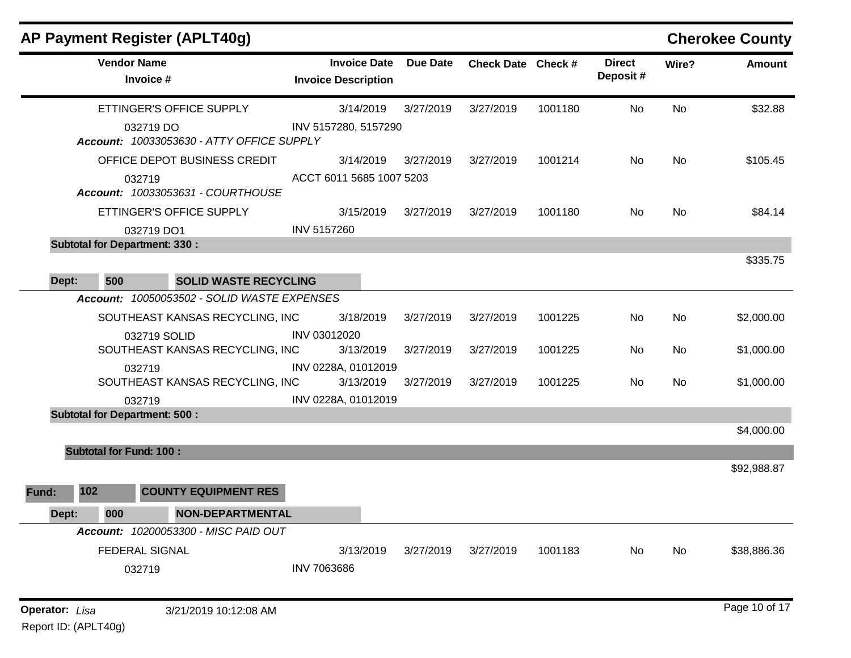| AP Payment Register (APLT40g)                          |                                                   |                 |                    |         |                           |       | <b>Cherokee County</b> |
|--------------------------------------------------------|---------------------------------------------------|-----------------|--------------------|---------|---------------------------|-------|------------------------|
| <b>Vendor Name</b><br>Invoice #                        | <b>Invoice Date</b><br><b>Invoice Description</b> | <b>Due Date</b> | Check Date Check # |         | <b>Direct</b><br>Deposit# | Wire? | <b>Amount</b>          |
| ETTINGER'S OFFICE SUPPLY                               | 3/14/2019                                         | 3/27/2019       | 3/27/2019          | 1001180 | No                        | No    | \$32.88                |
| 032719 DO<br>Account: 10033053630 - ATTY OFFICE SUPPLY | INV 5157280, 5157290                              |                 |                    |         |                           |       |                        |
| OFFICE DEPOT BUSINESS CREDIT                           | 3/14/2019                                         | 3/27/2019       | 3/27/2019          | 1001214 | No.                       | No    | \$105.45               |
| 032719<br>Account: 10033053631 - COURTHOUSE            | ACCT 6011 5685 1007 5203                          |                 |                    |         |                           |       |                        |
| ETTINGER'S OFFICE SUPPLY                               | 3/15/2019                                         | 3/27/2019       | 3/27/2019          | 1001180 | No.                       | No    | \$84.14                |
| 032719 DO1                                             | <b>INV 5157260</b>                                |                 |                    |         |                           |       |                        |
| <b>Subtotal for Department: 330:</b>                   |                                                   |                 |                    |         |                           |       |                        |
|                                                        |                                                   |                 |                    |         |                           |       | \$335.75               |
| 500<br><b>SOLID WASTE RECYCLING</b><br>Dept:           |                                                   |                 |                    |         |                           |       |                        |
| Account: 10050053502 - SOLID WASTE EXPENSES            |                                                   |                 |                    |         |                           |       |                        |
| SOUTHEAST KANSAS RECYCLING, INC                        | 3/18/2019                                         | 3/27/2019       | 3/27/2019          | 1001225 | No                        | No    | \$2,000.00             |
| 032719 SOLID<br>SOUTHEAST KANSAS RECYCLING, INC        | INV 03012020<br>3/13/2019                         | 3/27/2019       | 3/27/2019          | 1001225 | No                        | No    | \$1,000.00             |
| 032719<br>SOUTHEAST KANSAS RECYCLING, INC              | INV 0228A, 01012019<br>3/13/2019                  | 3/27/2019       | 3/27/2019          | 1001225 | No                        | No    | \$1,000.00             |
| 032719                                                 | INV 0228A, 01012019                               |                 |                    |         |                           |       |                        |
| <b>Subtotal for Department: 500:</b>                   |                                                   |                 |                    |         |                           |       | \$4,000.00             |
| <b>Subtotal for Fund: 100:</b>                         |                                                   |                 |                    |         |                           |       |                        |
|                                                        |                                                   |                 |                    |         |                           |       | \$92,988.87            |
| 102<br><b>COUNTY EQUIPMENT RES</b><br>Fund:            |                                                   |                 |                    |         |                           |       |                        |
| 000<br>Dept:<br>NON-DEPARTMENTAL                       |                                                   |                 |                    |         |                           |       |                        |
| Account: 10200053300 - MISC PAID OUT                   |                                                   |                 |                    |         |                           |       |                        |
| <b>FEDERAL SIGNAL</b>                                  | 3/13/2019                                         | 3/27/2019       | 3/27/2019          | 1001183 | No                        | No    | \$38,886.36            |
| 032719                                                 | <b>INV 7063686</b>                                |                 |                    |         |                           |       |                        |
| Operator: Lisa<br>3/21/2019 10:12:08 AM                |                                                   |                 |                    |         |                           |       | Page 10 of 17          |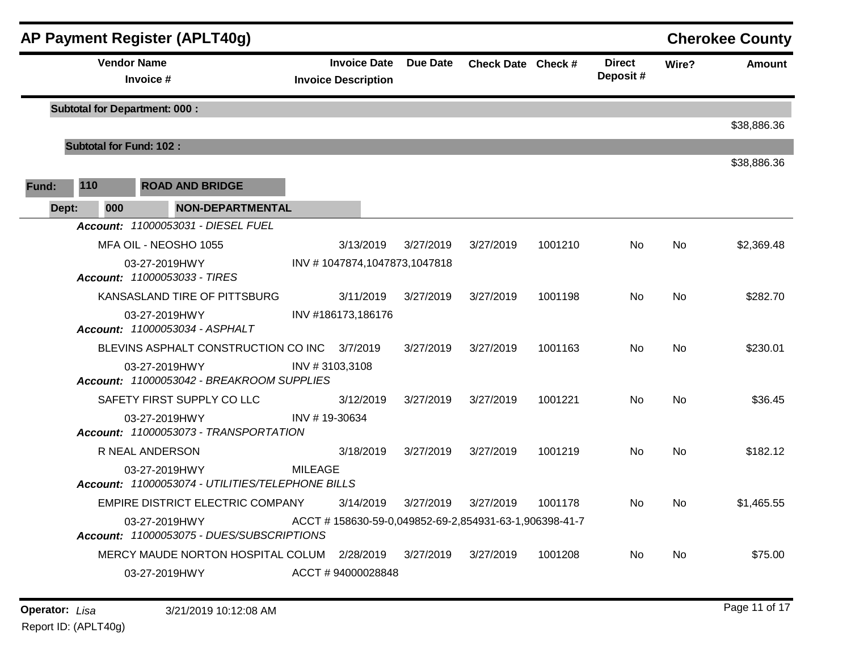|       |       |     |                                               | AP Payment Register (APLT40g)                    |                |                                                   |                 |                                                       |         |                           |           | <b>Cherokee County</b> |
|-------|-------|-----|-----------------------------------------------|--------------------------------------------------|----------------|---------------------------------------------------|-----------------|-------------------------------------------------------|---------|---------------------------|-----------|------------------------|
|       |       |     | <b>Vendor Name</b><br>Invoice #               |                                                  |                | <b>Invoice Date</b><br><b>Invoice Description</b> | <b>Due Date</b> | Check Date Check #                                    |         | <b>Direct</b><br>Deposit# | Wire?     | <b>Amount</b>          |
|       |       |     | <b>Subtotal for Department: 000:</b>          |                                                  |                |                                                   |                 |                                                       |         |                           |           |                        |
|       |       |     |                                               |                                                  |                |                                                   |                 |                                                       |         |                           |           | \$38,886.36            |
|       |       |     | <b>Subtotal for Fund: 102:</b>                |                                                  |                |                                                   |                 |                                                       |         |                           |           |                        |
| Fund: | 110   |     |                                               | <b>ROAD AND BRIDGE</b>                           |                |                                                   |                 |                                                       |         |                           |           | \$38,886.36            |
|       | Dept: | 000 |                                               | NON-DEPARTMENTAL                                 |                |                                                   |                 |                                                       |         |                           |           |                        |
|       |       |     |                                               | Account: 11000053031 - DIESEL FUEL               |                |                                                   |                 |                                                       |         |                           |           |                        |
|       |       |     | MFA OIL - NEOSHO 1055                         |                                                  |                | 3/13/2019                                         | 3/27/2019       | 3/27/2019                                             | 1001210 | No.                       | No.       | \$2,369.48             |
|       |       |     | 03-27-2019HWY<br>Account: 11000053033 - TIRES |                                                  |                | INV #1047874,1047873,1047818                      |                 |                                                       |         |                           |           |                        |
|       |       |     |                                               | KANSASLAND TIRE OF PITTSBURG                     |                | 3/11/2019                                         | 3/27/2019       | 3/27/2019                                             | 1001198 | No.                       | No        | \$282.70               |
|       |       |     | 03-27-2019HWY                                 | Account: 11000053034 - ASPHALT                   |                | INV #186173,186176                                |                 |                                                       |         |                           |           |                        |
|       |       |     |                                               | BLEVINS ASPHALT CONSTRUCTION CO INC 3/7/2019     |                |                                                   | 3/27/2019       | 3/27/2019                                             | 1001163 | No.                       | No        | \$230.01               |
|       |       |     | 03-27-2019HWY                                 | Account: 11000053042 - BREAKROOM SUPPLIES        | INV #3103,3108 |                                                   |                 |                                                       |         |                           |           |                        |
|       |       |     |                                               | SAFETY FIRST SUPPLY CO LLC                       |                | 3/12/2019                                         | 3/27/2019       | 3/27/2019                                             | 1001221 | No.                       | <b>No</b> | \$36.45                |
|       |       |     | 03-27-2019HWY                                 | Account: 11000053073 - TRANSPORTATION            | INV #19-30634  |                                                   |                 |                                                       |         |                           |           |                        |
|       |       |     | R NEAL ANDERSON                               |                                                  |                | 3/18/2019                                         | 3/27/2019       | 3/27/2019                                             | 1001219 | No.                       | No        | \$182.12               |
|       |       |     | 03-27-2019HWY                                 | Account: 11000053074 - UTILITIES/TELEPHONE BILLS | <b>MILEAGE</b> |                                                   |                 |                                                       |         |                           |           |                        |
|       |       |     |                                               | EMPIRE DISTRICT ELECTRIC COMPANY                 |                | 3/14/2019                                         | 3/27/2019       | 3/27/2019                                             | 1001178 | No.                       | No        | \$1,465.55             |
|       |       |     | 03-27-2019HWY                                 | Account: 11000053075 - DUES/SUBSCRIPTIONS        |                |                                                   |                 | ACCT #158630-59-0,049852-69-2,854931-63-1,906398-41-7 |         |                           |           |                        |
|       |       |     |                                               | MERCY MAUDE NORTON HOSPITAL COLUM 2/28/2019      |                |                                                   | 3/27/2019       | 3/27/2019                                             | 1001208 | No.                       | No.       | \$75.00                |
|       |       |     | 03-27-2019HWY                                 |                                                  |                | ACCT #94000028848                                 |                 |                                                       |         |                           |           |                        |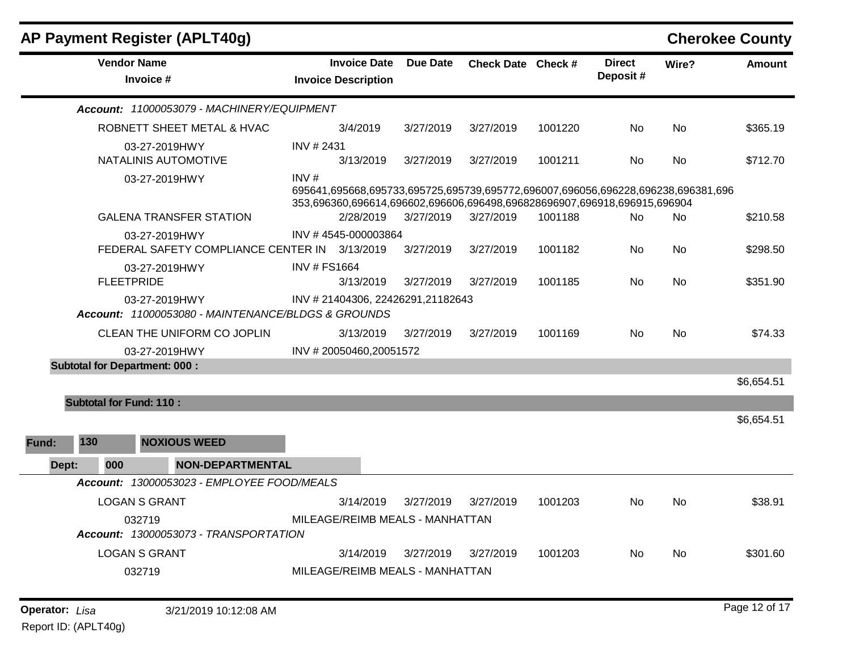|       |                                | AP Payment Register (APLT40g)                                       |                     |                                                   |                 |                                                                                                                                                              |         |                           |           | <b>Cherokee County</b> |
|-------|--------------------------------|---------------------------------------------------------------------|---------------------|---------------------------------------------------|-----------------|--------------------------------------------------------------------------------------------------------------------------------------------------------------|---------|---------------------------|-----------|------------------------|
|       |                                | <b>Vendor Name</b><br>Invoice #                                     |                     | <b>Invoice Date</b><br><b>Invoice Description</b> | <b>Due Date</b> | Check Date Check #                                                                                                                                           |         | <b>Direct</b><br>Deposit# | Wire?     | <b>Amount</b>          |
|       |                                | Account: 11000053079 - MACHINERY/EQUIPMENT                          |                     |                                                   |                 |                                                                                                                                                              |         |                           |           |                        |
|       |                                | ROBNETT SHEET METAL & HVAC                                          |                     | 3/4/2019                                          | 3/27/2019       | 3/27/2019                                                                                                                                                    | 1001220 | No                        | No        | \$365.19               |
|       |                                | 03-27-2019HWY<br>NATALINIS AUTOMOTIVE                               | INV # 2431          | 3/13/2019                                         | 3/27/2019       | 3/27/2019                                                                                                                                                    | 1001211 | No                        | <b>No</b> | \$712.70               |
|       |                                | 03-27-2019HWY                                                       | INV#                |                                                   |                 | 695641,695668,695733,695725,695739,695772,696007,696056,696228,696238,696381,696<br>353,696360,696614,696602,696606,696498,696828696907,696918,696915,696904 |         |                           |           |                        |
|       |                                | <b>GALENA TRANSFER STATION</b>                                      |                     | 2/28/2019                                         | 3/27/2019       | 3/27/2019                                                                                                                                                    | 1001188 | No                        | <b>No</b> | \$210.58               |
|       |                                | 03-27-2019HWY<br>FEDERAL SAFETY COMPLIANCE CENTER IN 3/13/2019      |                     | INV #4545-000003864                               | 3/27/2019       | 3/27/2019                                                                                                                                                    | 1001182 | No.                       | <b>No</b> | \$298.50               |
|       | <b>FLEETPRIDE</b>              | 03-27-2019HWY                                                       | <b>INV # FS1664</b> | 3/13/2019                                         | 3/27/2019       | 3/27/2019                                                                                                                                                    | 1001185 | No                        | No        | \$351.90               |
|       |                                | 03-27-2019HWY<br>Account: 11000053080 - MAINTENANCE/BLDGS & GROUNDS |                     | INV #21404306, 22426291, 21182643                 |                 |                                                                                                                                                              |         |                           |           |                        |
|       |                                | CLEAN THE UNIFORM CO JOPLIN                                         |                     | 3/13/2019                                         | 3/27/2019       | 3/27/2019                                                                                                                                                    | 1001169 | No                        | No        | \$74.33                |
|       |                                | 03-27-2019HWY                                                       |                     | INV #20050460,20051572                            |                 |                                                                                                                                                              |         |                           |           |                        |
|       |                                | <b>Subtotal for Department: 000:</b>                                |                     |                                                   |                 |                                                                                                                                                              |         |                           |           |                        |
|       |                                |                                                                     |                     |                                                   |                 |                                                                                                                                                              |         |                           |           | \$6,654.51             |
|       | <b>Subtotal for Fund: 110:</b> |                                                                     |                     |                                                   |                 |                                                                                                                                                              |         |                           |           |                        |
|       |                                |                                                                     |                     |                                                   |                 |                                                                                                                                                              |         |                           |           | \$6,654.51             |
| Fund: | 130                            | <b>NOXIOUS WEED</b>                                                 |                     |                                                   |                 |                                                                                                                                                              |         |                           |           |                        |
| Dept: | 000                            | <b>NON-DEPARTMENTAL</b>                                             |                     |                                                   |                 |                                                                                                                                                              |         |                           |           |                        |
|       |                                | Account: 13000053023 - EMPLOYEE FOOD/MEALS                          |                     |                                                   |                 |                                                                                                                                                              |         |                           |           |                        |
|       |                                | <b>LOGAN S GRANT</b>                                                |                     | 3/14/2019                                         | 3/27/2019       | 3/27/2019                                                                                                                                                    | 1001203 | No                        | <b>No</b> | \$38.91                |
|       |                                | 032719                                                              |                     | MILEAGE/REIMB MEALS - MANHATTAN                   |                 |                                                                                                                                                              |         |                           |           |                        |
|       |                                | Account: 13000053073 - TRANSPORTATION                               |                     |                                                   |                 |                                                                                                                                                              |         |                           |           |                        |
|       |                                | <b>LOGAN S GRANT</b>                                                |                     | 3/14/2019                                         | 3/27/2019       | 3/27/2019                                                                                                                                                    | 1001203 | No.                       | No        | \$301.60               |
|       |                                | 032719                                                              |                     | MILEAGE/REIMB MEALS - MANHATTAN                   |                 |                                                                                                                                                              |         |                           |           |                        |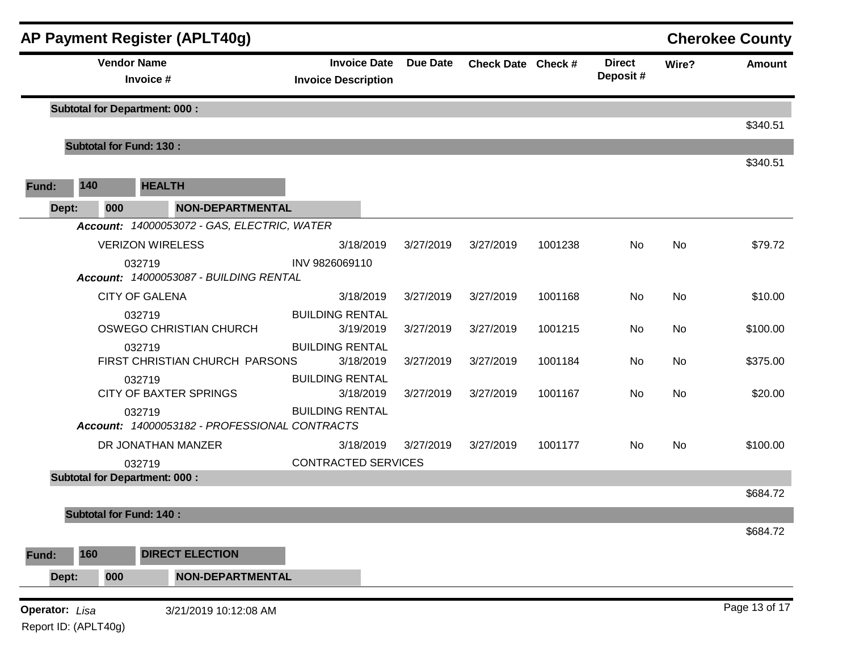|                       |                      | AP Payment Register (APLT40g)                           |                                                   |                 |                    |         |                           |           | <b>Cherokee County</b> |
|-----------------------|----------------------|---------------------------------------------------------|---------------------------------------------------|-----------------|--------------------|---------|---------------------------|-----------|------------------------|
|                       |                      | <b>Vendor Name</b><br>Invoice #                         | <b>Invoice Date</b><br><b>Invoice Description</b> | <b>Due Date</b> | Check Date Check # |         | <b>Direct</b><br>Deposit# | Wire?     | <b>Amount</b>          |
|                       |                      | <b>Subtotal for Department: 000:</b>                    |                                                   |                 |                    |         |                           |           |                        |
|                       |                      | <b>Subtotal for Fund: 130:</b>                          |                                                   |                 |                    |         |                           |           | \$340.51               |
|                       |                      |                                                         |                                                   |                 |                    |         |                           |           | \$340.51               |
| Fund:                 | 140                  | <b>HEALTH</b>                                           |                                                   |                 |                    |         |                           |           |                        |
| Dept:                 | 000                  | <b>NON-DEPARTMENTAL</b>                                 |                                                   |                 |                    |         |                           |           |                        |
|                       |                      | Account: 14000053072 - GAS, ELECTRIC, WATER             |                                                   |                 |                    |         |                           |           |                        |
|                       |                      | <b>VERIZON WIRELESS</b>                                 | 3/18/2019                                         | 3/27/2019       | 3/27/2019          | 1001238 | No                        | No.       | \$79.72                |
|                       |                      | 032719<br>Account: 14000053087 - BUILDING RENTAL        | INV 9826069110                                    |                 |                    |         |                           |           |                        |
|                       |                      | <b>CITY OF GALENA</b>                                   | 3/18/2019                                         | 3/27/2019       | 3/27/2019          | 1001168 | No                        | <b>No</b> | \$10.00                |
|                       |                      | 032719<br>OSWEGO CHRISTIAN CHURCH                       | <b>BUILDING RENTAL</b><br>3/19/2019               | 3/27/2019       | 3/27/2019          | 1001215 | No                        | <b>No</b> | \$100.00               |
|                       |                      | 032719<br>FIRST CHRISTIAN CHURCH PARSONS                | <b>BUILDING RENTAL</b><br>3/18/2019               | 3/27/2019       | 3/27/2019          | 1001184 | No                        | No.       | \$375.00               |
|                       |                      | 032719<br><b>CITY OF BAXTER SPRINGS</b>                 | <b>BUILDING RENTAL</b><br>3/18/2019               | 3/27/2019       | 3/27/2019          | 1001167 | No.                       | No.       | \$20.00                |
|                       |                      | 032719<br>Account: 14000053182 - PROFESSIONAL CONTRACTS | <b>BUILDING RENTAL</b>                            |                 |                    |         |                           |           |                        |
|                       |                      | DR JONATHAN MANZER                                      | 3/18/2019                                         | 3/27/2019       | 3/27/2019          | 1001177 | No.                       | <b>No</b> | \$100.00               |
|                       |                      | 032719                                                  | <b>CONTRACTED SERVICES</b>                        |                 |                    |         |                           |           |                        |
|                       |                      | <b>Subtotal for Department: 000:</b>                    |                                                   |                 |                    |         |                           |           | \$684.72               |
|                       |                      | <b>Subtotal for Fund: 140:</b>                          |                                                   |                 |                    |         |                           |           |                        |
|                       |                      |                                                         |                                                   |                 |                    |         |                           |           | \$684.72               |
| Fund:                 | 160                  | <b>DIRECT ELECTION</b>                                  |                                                   |                 |                    |         |                           |           |                        |
| Dept:                 | 000                  | <b>NON-DEPARTMENTAL</b>                                 |                                                   |                 |                    |         |                           |           |                        |
|                       |                      |                                                         |                                                   |                 |                    |         |                           |           | Page 13 of 17          |
| <b>Operator:</b> Lisa | Report ID: (APLT40g) | 3/21/2019 10:12:08 AM                                   |                                                   |                 |                    |         |                           |           |                        |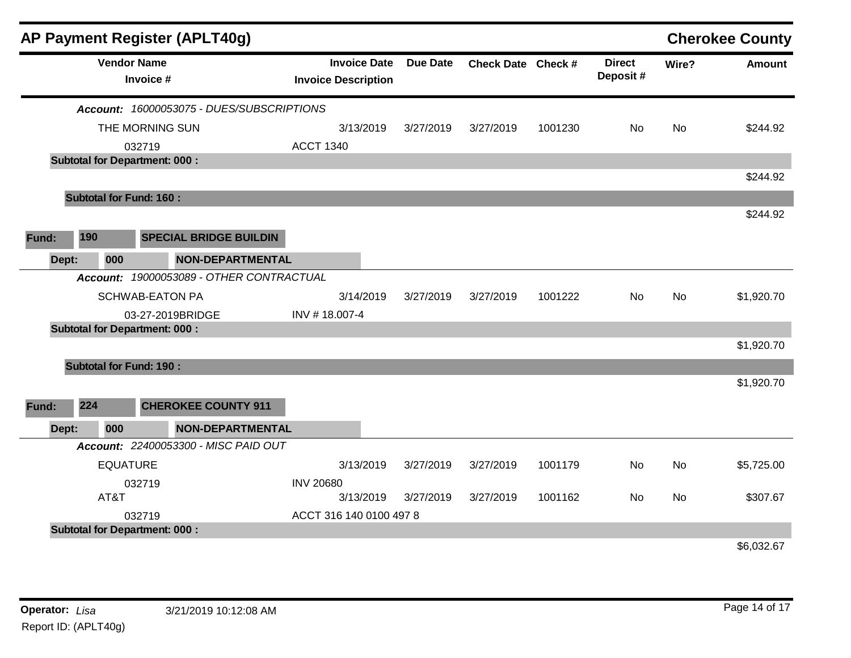|       |                                      | AP Payment Register (APLT40g)             |                                                   |                 |                    |         |                            |           | <b>Cherokee County</b> |
|-------|--------------------------------------|-------------------------------------------|---------------------------------------------------|-----------------|--------------------|---------|----------------------------|-----------|------------------------|
|       | <b>Vendor Name</b>                   | Invoice #                                 | <b>Invoice Date</b><br><b>Invoice Description</b> | <b>Due Date</b> | Check Date Check # |         | <b>Direct</b><br>Deposit # | Wire?     | <b>Amount</b>          |
|       |                                      | Account: 16000053075 - DUES/SUBSCRIPTIONS |                                                   |                 |                    |         |                            |           |                        |
|       |                                      | THE MORNING SUN                           | 3/13/2019                                         | 3/27/2019       | 3/27/2019          | 1001230 | No                         | <b>No</b> | \$244.92               |
|       |                                      | 032719                                    | <b>ACCT 1340</b>                                  |                 |                    |         |                            |           |                        |
|       | <b>Subtotal for Department: 000:</b> |                                           |                                                   |                 |                    |         |                            |           |                        |
|       |                                      |                                           |                                                   |                 |                    |         |                            |           | \$244.92               |
|       | <b>Subtotal for Fund: 160:</b>       |                                           |                                                   |                 |                    |         |                            |           |                        |
|       |                                      |                                           |                                                   |                 |                    |         |                            |           | \$244.92               |
| Fund: | 190                                  | <b>SPECIAL BRIDGE BUILDIN</b>             |                                                   |                 |                    |         |                            |           |                        |
| Dept: | 000                                  | <b>NON-DEPARTMENTAL</b>                   |                                                   |                 |                    |         |                            |           |                        |
|       |                                      | Account: 19000053089 - OTHER CONTRACTUAL  |                                                   |                 |                    |         |                            |           |                        |
|       |                                      | <b>SCHWAB-EATON PA</b>                    | 3/14/2019                                         | 3/27/2019       | 3/27/2019          | 1001222 | No                         | <b>No</b> | \$1,920.70             |
|       |                                      | 03-27-2019BRIDGE                          | INV #18.007-4                                     |                 |                    |         |                            |           |                        |
|       | <b>Subtotal for Department: 000:</b> |                                           |                                                   |                 |                    |         |                            |           |                        |
|       |                                      |                                           |                                                   |                 |                    |         |                            |           | \$1,920.70             |
|       | <b>Subtotal for Fund: 190:</b>       |                                           |                                                   |                 |                    |         |                            |           |                        |
|       |                                      |                                           |                                                   |                 |                    |         |                            |           | \$1,920.70             |
| Fund: | 224                                  | <b>CHEROKEE COUNTY 911</b>                |                                                   |                 |                    |         |                            |           |                        |
| Dept: | 000                                  | <b>NON-DEPARTMENTAL</b>                   |                                                   |                 |                    |         |                            |           |                        |
|       |                                      | Account: 22400053300 - MISC PAID OUT      |                                                   |                 |                    |         |                            |           |                        |
|       | <b>EQUATURE</b>                      |                                           | 3/13/2019                                         | 3/27/2019       | 3/27/2019          | 1001179 | No                         | No        | \$5,725.00             |
|       |                                      | 032719                                    | <b>INV 20680</b>                                  |                 |                    |         |                            |           |                        |
|       | AT&T                                 |                                           | 3/13/2019                                         | 3/27/2019       | 3/27/2019          | 1001162 | No                         | <b>No</b> | \$307.67               |
|       |                                      | 032719                                    | ACCT 316 140 0100 497 8                           |                 |                    |         |                            |           |                        |
|       | <b>Subtotal for Department: 000:</b> |                                           |                                                   |                 |                    |         |                            |           | \$6,032.67             |
|       |                                      |                                           |                                                   |                 |                    |         |                            |           |                        |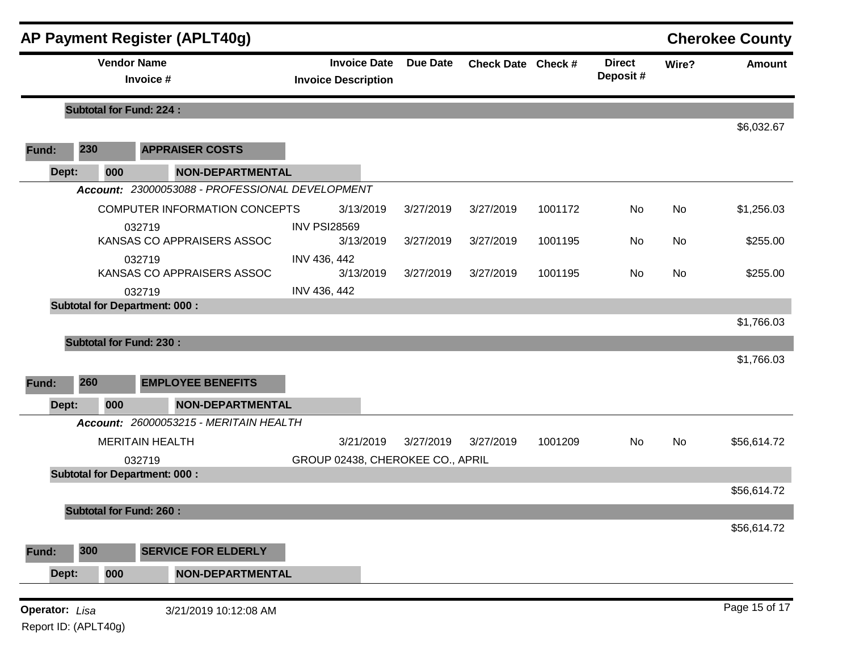|                |                                 |                                | <b>AP Payment Register (APLT40g)</b>              |                                  |                    |           |                           |       |               | <b>Cherokee County</b> |
|----------------|---------------------------------|--------------------------------|---------------------------------------------------|----------------------------------|--------------------|-----------|---------------------------|-------|---------------|------------------------|
|                | <b>Vendor Name</b><br>Invoice # |                                | <b>Invoice Date</b><br><b>Invoice Description</b> | <b>Due Date</b>                  | Check Date Check # |           | <b>Direct</b><br>Deposit# | Wire? | <b>Amount</b> |                        |
|                |                                 | <b>Subtotal for Fund: 224:</b> |                                                   |                                  |                    |           |                           |       |               | \$6,032.67             |
| Fund:          | 230                             |                                | <b>APPRAISER COSTS</b>                            |                                  |                    |           |                           |       |               |                        |
| Dept:          |                                 | 000                            | <b>NON-DEPARTMENTAL</b>                           |                                  |                    |           |                           |       |               |                        |
|                |                                 |                                | Account: 23000053088 - PROFESSIONAL DEVELOPMENT   |                                  |                    |           |                           |       |               |                        |
|                |                                 |                                | COMPUTER INFORMATION CONCEPTS                     | 3/13/2019                        | 3/27/2019          | 3/27/2019 | 1001172                   | No    | <b>No</b>     | \$1,256.03             |
|                |                                 |                                | 032719                                            | <b>INV PSI28569</b>              |                    |           |                           |       |               |                        |
|                |                                 |                                | KANSAS CO APPRAISERS ASSOC                        | 3/13/2019                        | 3/27/2019          | 3/27/2019 | 1001195                   | No.   | No            | \$255.00               |
|                |                                 |                                | 032719<br>KANSAS CO APPRAISERS ASSOC              | INV 436, 442<br>3/13/2019        | 3/27/2019          | 3/27/2019 | 1001195                   | No    | <b>No</b>     | \$255.00               |
|                |                                 |                                | 032719                                            | INV 436, 442                     |                    |           |                           |       |               |                        |
|                |                                 |                                | <b>Subtotal for Department: 000:</b>              |                                  |                    |           |                           |       |               |                        |
|                |                                 |                                |                                                   |                                  |                    |           |                           |       |               | \$1,766.03             |
|                |                                 | <b>Subtotal for Fund: 230:</b> |                                                   |                                  |                    |           |                           |       |               |                        |
|                |                                 |                                |                                                   |                                  |                    |           |                           |       |               | \$1,766.03             |
| Fund:          | 260                             |                                | <b>EMPLOYEE BENEFITS</b>                          |                                  |                    |           |                           |       |               |                        |
| Dept:          |                                 | 000                            | <b>NON-DEPARTMENTAL</b>                           |                                  |                    |           |                           |       |               |                        |
|                |                                 |                                | Account: 26000053215 - MERITAIN HEALTH            |                                  |                    |           |                           |       |               |                        |
|                |                                 |                                | <b>MERITAIN HEALTH</b>                            | 3/21/2019                        | 3/27/2019          | 3/27/2019 | 1001209                   | No    | No            | \$56,614.72            |
|                |                                 |                                | 032719                                            | GROUP 02438, CHEROKEE CO., APRIL |                    |           |                           |       |               |                        |
|                |                                 |                                | <b>Subtotal for Department: 000:</b>              |                                  |                    |           |                           |       |               |                        |
|                |                                 |                                |                                                   |                                  |                    |           |                           |       |               | \$56,614.72            |
|                |                                 | <b>Subtotal for Fund: 260:</b> |                                                   |                                  |                    |           |                           |       |               | \$56,614.72            |
|                |                                 |                                |                                                   |                                  |                    |           |                           |       |               |                        |
| Fund:          | 300                             |                                | <b>SERVICE FOR ELDERLY</b>                        |                                  |                    |           |                           |       |               |                        |
| Dept:          |                                 | 000                            | <b>NON-DEPARTMENTAL</b>                           |                                  |                    |           |                           |       |               |                        |
| Operator: Lisa |                                 |                                | 3/21/2019 10:12:08 AM                             |                                  |                    |           |                           |       |               | Page 15 of 17          |

Report ID: (APLT40g)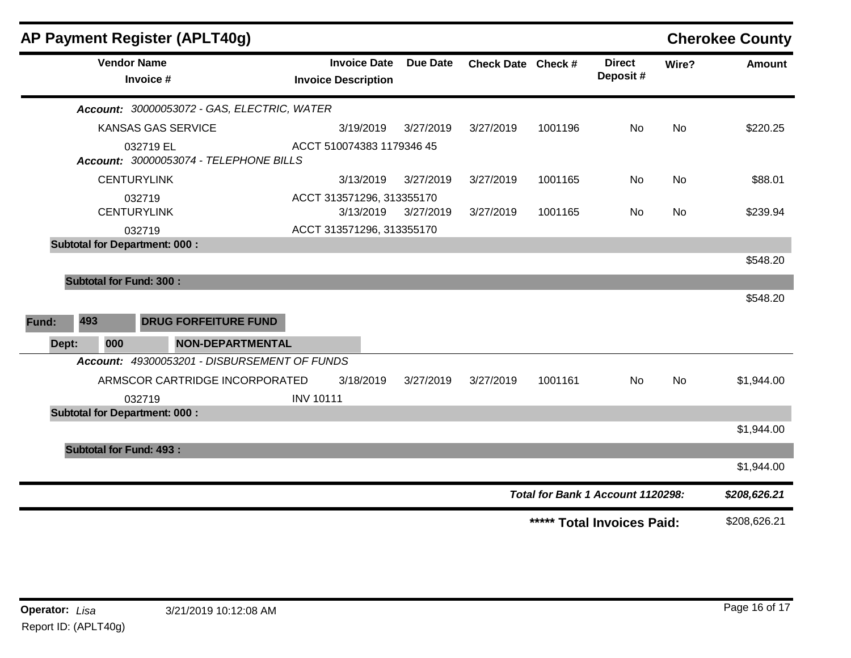| <b>AP Payment Register (APLT40g)</b> |                                              |                                                   |                 |                    |         |                                   |           | <b>Cherokee County</b>                   |
|--------------------------------------|----------------------------------------------|---------------------------------------------------|-----------------|--------------------|---------|-----------------------------------|-----------|------------------------------------------|
| <b>Vendor Name</b><br>Invoice #      |                                              | <b>Invoice Date</b><br><b>Invoice Description</b> | <b>Due Date</b> | Check Date Check # |         | <b>Direct</b><br>Deposit#         | Wire?     | <b>Amount</b>                            |
|                                      | Account: 30000053072 - GAS, ELECTRIC, WATER  |                                                   |                 |                    |         |                                   |           |                                          |
|                                      | <b>KANSAS GAS SERVICE</b>                    | 3/19/2019                                         | 3/27/2019       | 3/27/2019          | 1001196 | No                                | <b>No</b> | \$220.25                                 |
| 032719 EL                            | Account: 30000053074 - TELEPHONE BILLS       | ACCT 510074383 1179346 45                         |                 |                    |         |                                   |           |                                          |
| <b>CENTURYLINK</b>                   |                                              | 3/13/2019                                         | 3/27/2019       | 3/27/2019          | 1001165 | No                                | <b>No</b> | \$88.01                                  |
| 032719                               |                                              | ACCT 313571296, 313355170                         |                 |                    |         |                                   |           |                                          |
| <b>CENTURYLINK</b>                   |                                              | 3/13/2019                                         | 3/27/2019       | 3/27/2019          | 1001165 | No                                | <b>No</b> | \$239.94                                 |
| 032719                               |                                              | ACCT 313571296, 313355170                         |                 |                    |         |                                   |           |                                          |
| <b>Subtotal for Department: 000:</b> |                                              |                                                   |                 |                    |         |                                   |           |                                          |
| 493<br><b>Fund:</b>                  | <b>DRUG FORFEITURE FUND</b>                  |                                                   |                 |                    |         |                                   |           | \$548.20                                 |
| Dept:<br>000                         | NON-DEPARTMENTAL                             |                                                   |                 |                    |         |                                   |           |                                          |
|                                      | Account: 49300053201 - DISBURSEMENT OF FUNDS |                                                   |                 |                    |         |                                   |           |                                          |
|                                      | ARMSCOR CARTRIDGE INCORPORATED               | 3/18/2019                                         | 3/27/2019       | 3/27/2019          | 1001161 | <b>No</b>                         | <b>No</b> | \$1,944.00                               |
| 032719                               |                                              | <b>INV 10111</b>                                  |                 |                    |         |                                   |           |                                          |
|                                      |                                              |                                                   |                 |                    |         |                                   |           |                                          |
| <b>Subtotal for Department: 000:</b> |                                              |                                                   |                 |                    |         |                                   |           |                                          |
|                                      |                                              |                                                   |                 |                    |         |                                   |           |                                          |
| <b>Subtotal for Fund: 493:</b>       |                                              |                                                   |                 |                    |         |                                   |           |                                          |
|                                      |                                              |                                                   |                 |                    |         |                                   |           |                                          |
|                                      |                                              |                                                   |                 |                    |         | Total for Bank 1 Account 1120298: |           | \$1,944.00<br>\$1,944.00<br>\$208,626.21 |